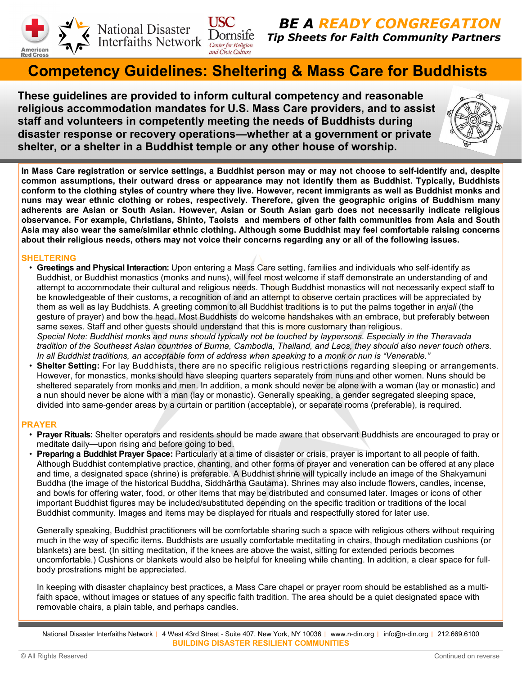

National Disaster<br>Interfaiths Network Dornsife

BE A READY CONGREGATION Tip Sheets for Faith Community Partners

# Competency Guidelines: Sheltering & Mass Care for Buddhists

These guidelines are provided to inform cultural competency and reasonable religious accommodation mandates for U.S. Mass Care providers, and to assist staff and volunteers in competently meeting the needs of Buddhists during disaster response or recovery operations**—**whether at a government or private shelter, or a shelter in a Buddhist temple or any other house of worship.

**USC** 



In Mass Care registration or service settings, a Buddhist person may or may not choose to self**-**identify and, despite common assumptions, their outward dress or appearance may not identify them as Buddhist. Typically, Buddhists conform to the clothing styles of country where they live. However, recent immigrants as well as Buddhist monks and nuns may wear ethnic clothing or robes, respectively. Therefore, given the geographic origins of Buddhism many adherents are Asian or South Asian. However, Asian or South Asian garb does not necessarily indicate religious observance. For example, Christians, Shinto, Taoists and members of other faith communities from Asia and South Asia may also wear the same/similar ethnic clothing. Although some Buddhist may feel comfortable raising concerns about their religious needs, others may not voice their concerns regarding any or all of the following issues.

# SHELTERING

- Greetings and Physical Interaction: Upon entering a Mass Care setting, families and individuals who self-identify as Buddhist, or Buddhist monastics (monks and nuns), will feel most welcome if staff demonstrate an understanding of and attempt to accommodate their cultural and religious needs. Though Buddhist monastics will not necessarily expect staff to be knowledgeable of their customs, a recognition of and an attempt to observe certain practices will be appreciated by them as well as lay Buddhists. A greeting common to all Buddhist traditions is to put the palms together in anjali (the gesture of prayer) and bow the head. Most Buddhists do welcome handshakes with an embrace, but preferably between same sexes. Staff and other guests should understand that this is more customary than religious. Special Note: Buddhist monks and nuns should typically not be touched by laypersons. Especially in the Theravada tradition of the Southeast Asian countries of Burma, Cambodia, Thailand, and Laos, they should also never touch others. In all Buddhist traditions, an acceptable form of address when speaking to a monk or nun is "Venerable."
- Shelter Setting: For lay Buddhists, there are no specific religious restrictions regarding sleeping or arrangements. However, for monastics, monks should have sleeping quarters separately from nuns and other women. Nuns should be sheltered separately from monks and men. In addition, a monk should never be alone with a woman (lay or monastic) and a nun should never be alone with a man (lay or monastic). Generally speaking, a gender segregated sleeping space, divided into same-gender areas by a curtain or partition (acceptable), or separate rooms (preferable), is required.

# PRAYER

- Prayer Rituals: Shelter operators and residents should be made aware that observant Buddhists are encouraged to pray or meditate daily—upon rising and before going to bed.
- Preparing a Buddhist Prayer Space: Particularly at a time of disaster or crisis, prayer is important to all people of faith. Although Buddhist contemplative practice, chanting, and other forms of prayer and veneration can be offered at any place and time, a designated space (shrine) is preferable. A Buddhist shrine will typically include an image of the Shakyamuni Buddha (the image of the historical Buddha, Siddhārtha Gautama). Shrines may also include flowers, candles, incense, and bowls for offering water, food, or other items that may be distributed and consumed later. Images or icons of other important Buddhist figures may be included/substituted depending on the specific tradition or traditions of the local Buddhist community. Images and items may be displayed for rituals and respectfully stored for later use.

Generally speaking, Buddhist practitioners will be comfortable sharing such a space with religious others without requiring much in the way of specific items. Buddhists are usually comfortable meditating in chairs, though meditation cushions (or blankets) are best. (In sitting meditation, if the knees are above the waist, sitting for extended periods becomes uncomfortable.) Cushions or blankets would also be helpful for kneeling while chanting. In addition, a clear space for fullbody prostrations might be appreciated.

In keeping with disaster chaplaincy best practices, a Mass Care chapel or prayer room should be established as a multifaith space, without images or statues of any specific faith tradition. The area should be a quiet designated space with removable chairs, a plain table, and perhaps candles.

National Disaster Interfaiths Network | 4 West 43rd Street - Suite 407, New York, NY 10036 | www.n-din.org | info@n-din.org | 212.669.6100 BUILDING DISASTER RESILIENT COMMUNITIES